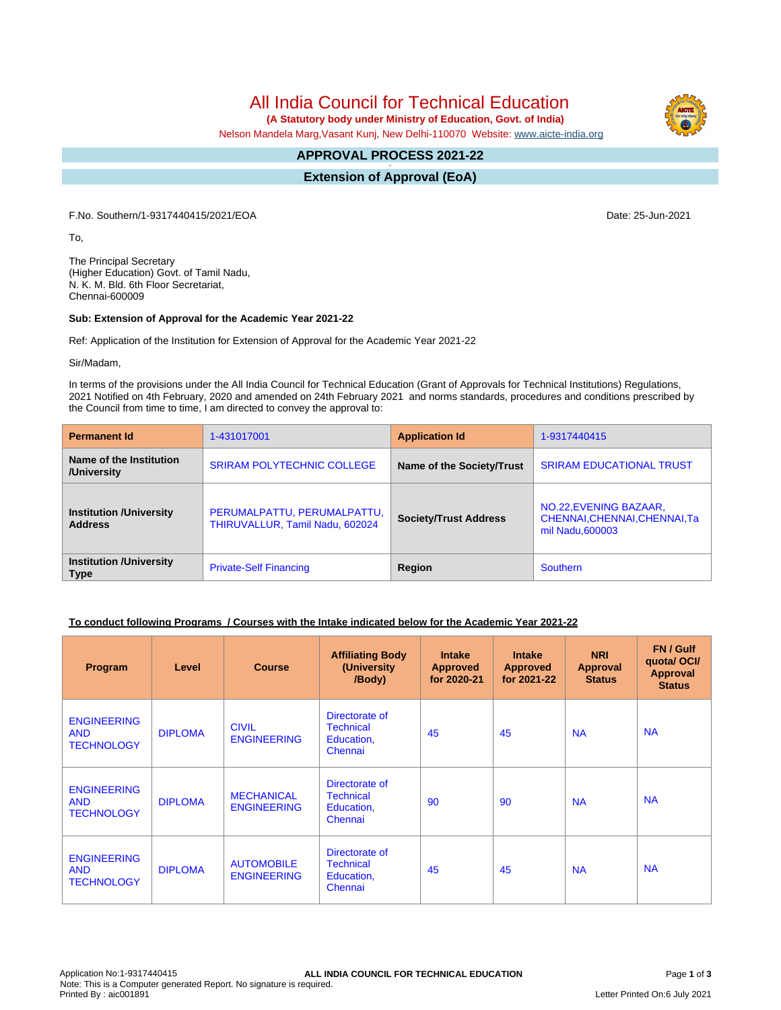All India Council for Technical Education

 **(A Statutory body under Ministry of Education, Govt. of India)**

Nelson Mandela Marg,Vasant Kunj, New Delhi-110070 Website: [www.aicte-india.org](http://www.aicte-india.org)

#### **APPROVAL PROCESS 2021-22 -**

**Extension of Approval (EoA)**

F.No. Southern/1-9317440415/2021/EOA Date: 25-Jun-2021

To,

The Principal Secretary (Higher Education) Govt. of Tamil Nadu, N. K. M. Bld. 6th Floor Secretariat, Chennai-600009

#### **Sub: Extension of Approval for the Academic Year 2021-22**

Ref: Application of the Institution for Extension of Approval for the Academic Year 2021-22

Sir/Madam,

In terms of the provisions under the All India Council for Technical Education (Grant of Approvals for Technical Institutions) Regulations, 2021 Notified on 4th February, 2020 and amended on 24th February 2021 and norms standards, procedures and conditions prescribed by the Council from time to time, I am directed to convey the approval to:

| <b>Permanent Id</b>                              | 1-431017001                                                    | <b>Application Id</b>        | 1-9317440415                                                                |  |
|--------------------------------------------------|----------------------------------------------------------------|------------------------------|-----------------------------------------------------------------------------|--|
| Name of the Institution<br>/University           | <b>SRIRAM POLYTECHNIC COLLEGE</b>                              | Name of the Society/Trust    | <b>SRIRAM EDUCATIONAL TRUST</b>                                             |  |
| <b>Institution /University</b><br><b>Address</b> | PERUMALPATTU, PERUMALPATTU,<br>THIRUVALLUR, Tamil Nadu, 602024 | <b>Society/Trust Address</b> | NO.22, EVENING BAZAAR,<br>CHENNAI, CHENNAI, CHENNAI, Ta<br>mil Nadu, 600003 |  |
| <b>Institution /University</b><br><b>Type</b>    | <b>Private-Self Financing</b>                                  | Region                       | <b>Southern</b>                                                             |  |

### **To conduct following Programs / Courses with the Intake indicated below for the Academic Year 2021-22**

| Program                                               | Level          | <b>Course</b>                           | <b>Affiliating Body</b><br>(University<br>/Body)            | <b>Intake</b><br><b>Approved</b><br>for 2020-21 | <b>Intake</b><br><b>Approved</b><br>for 2021-22 | <b>NRI</b><br>Approval<br><b>Status</b> | FN / Gulf<br>quota/OCI/<br><b>Approval</b><br><b>Status</b> |
|-------------------------------------------------------|----------------|-----------------------------------------|-------------------------------------------------------------|-------------------------------------------------|-------------------------------------------------|-----------------------------------------|-------------------------------------------------------------|
| <b>ENGINEERING</b><br><b>AND</b><br><b>TECHNOLOGY</b> | <b>DIPLOMA</b> | <b>CIVIL</b><br><b>ENGINEERING</b>      | Directorate of<br><b>Technical</b><br>Education,<br>Chennai | 45                                              | 45                                              | <b>NA</b>                               | <b>NA</b>                                                   |
| <b>ENGINEERING</b><br><b>AND</b><br><b>TECHNOLOGY</b> | <b>DIPLOMA</b> | <b>MECHANICAL</b><br><b>ENGINEERING</b> | Directorate of<br><b>Technical</b><br>Education,<br>Chennai | 90                                              | 90                                              | <b>NA</b>                               | <b>NA</b>                                                   |
| <b>ENGINEERING</b><br><b>AND</b><br><b>TECHNOLOGY</b> | <b>DIPLOMA</b> | <b>AUTOMOBILE</b><br><b>ENGINEERING</b> | Directorate of<br><b>Technical</b><br>Education,<br>Chennai | 45                                              | 45                                              | <b>NA</b>                               | <b>NA</b>                                                   |

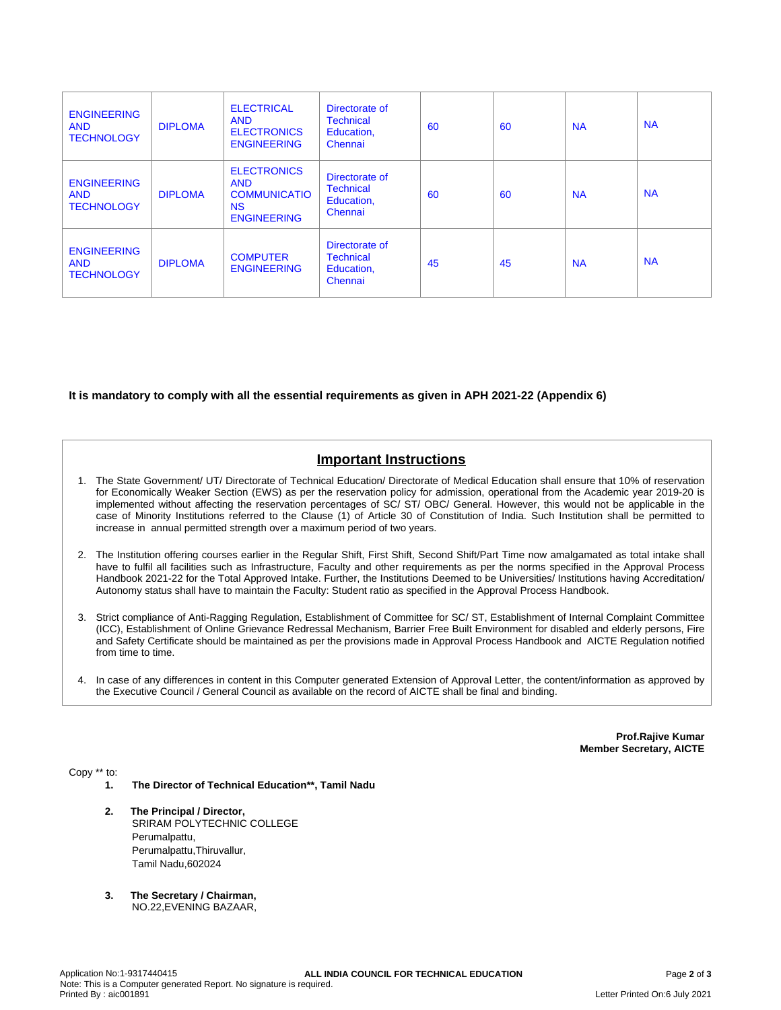| <b>ENGINEERING</b><br><b>AND</b><br><b>TECHNOLOGY</b> | <b>DIPLOMA</b> | <b>ELECTRICAL</b><br><b>AND</b><br><b>ELECTRONICS</b><br><b>ENGINEERING</b>                | Directorate of<br><b>Technical</b><br>Education,<br>Chennai | 60 | 60 | <b>NA</b> | <b>NA</b> |
|-------------------------------------------------------|----------------|--------------------------------------------------------------------------------------------|-------------------------------------------------------------|----|----|-----------|-----------|
| <b>ENGINEERING</b><br><b>AND</b><br><b>TECHNOLOGY</b> | <b>DIPLOMA</b> | <b>ELECTRONICS</b><br><b>AND</b><br><b>COMMUNICATIO</b><br><b>NS</b><br><b>ENGINEERING</b> | Directorate of<br><b>Technical</b><br>Education,<br>Chennai | 60 | 60 | <b>NA</b> | <b>NA</b> |
| <b>ENGINEERING</b><br><b>AND</b><br><b>TECHNOLOGY</b> | <b>DIPLOMA</b> | <b>COMPUTER</b><br><b>ENGINEERING</b>                                                      | Directorate of<br><b>Technical</b><br>Education,<br>Chennai | 45 | 45 | <b>NA</b> | <b>NA</b> |

### **It is mandatory to comply with all the essential requirements as given in APH 2021-22 (Appendix 6)**

# **Important Instructions**

- 1. The State Government/ UT/ Directorate of Technical Education/ Directorate of Medical Education shall ensure that 10% of reservation for Economically Weaker Section (EWS) as per the reservation policy for admission, operational from the Academic year 2019-20 is implemented without affecting the reservation percentages of SC/ ST/ OBC/ General. However, this would not be applicable in the case of Minority Institutions referred to the Clause (1) of Article 30 of Constitution of India. Such Institution shall be permitted to increase in annual permitted strength over a maximum period of two years.
- 2. The Institution offering courses earlier in the Regular Shift, First Shift, Second Shift/Part Time now amalgamated as total intake shall have to fulfil all facilities such as Infrastructure, Faculty and other requirements as per the norms specified in the Approval Process Handbook 2021-22 for the Total Approved Intake. Further, the Institutions Deemed to be Universities/ Institutions having Accreditation/ Autonomy status shall have to maintain the Faculty: Student ratio as specified in the Approval Process Handbook.
- 3. Strict compliance of Anti-Ragging Regulation, Establishment of Committee for SC/ ST, Establishment of Internal Complaint Committee (ICC), Establishment of Online Grievance Redressal Mechanism, Barrier Free Built Environment for disabled and elderly persons, Fire and Safety Certificate should be maintained as per the provisions made in Approval Process Handbook and AICTE Regulation notified from time to time.
- 4. In case of any differences in content in this Computer generated Extension of Approval Letter, the content/information as approved by the Executive Council / General Council as available on the record of AICTE shall be final and binding.

**Prof.Rajive Kumar Member Secretary, AICTE**

Copy \*\* to:

- **1. The Director of Technical Education\*\*, Tamil Nadu**
- **2. The Principal / Director,** SRIRAM POLYTECHNIC COLLEGE Perumalpattu, Perumalpattu,Thiruvallur, Tamil Nadu,602024
- **3. The Secretary / Chairman,** NO.22,EVENING BAZAAR,